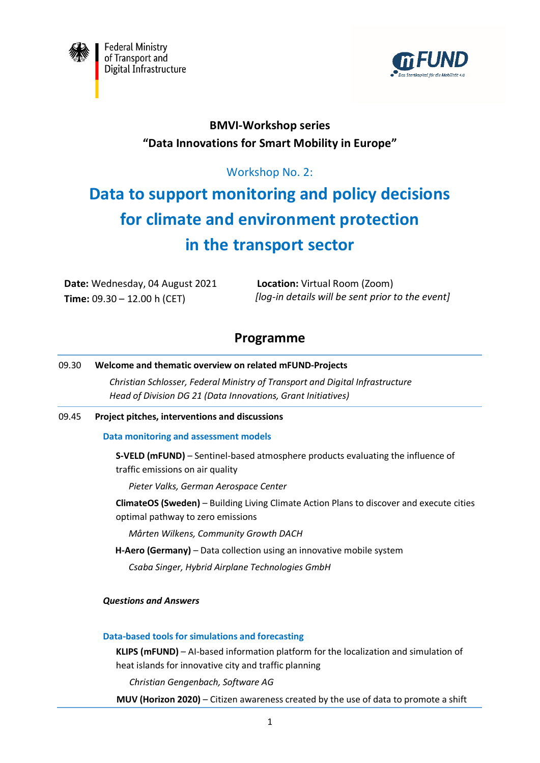



## **BMVI-Workshop series "Data Innovations for Smart Mobility in Europe"**

### Workshop No. 2:

# **Data to support monitoring and policy decisions for climate and environment protection in the transport sector**

**Date:** Wednesday, 04 August 2021 **Time:** 09.30 – 12.00 h (CET)

**Location:** Virtual Room (Zoom)  *[log-in details will be sent prior to the event]*

## **Programme**

## 09.30 **Welcome and thematic overview on related mFUND-Projects**

*Christian Schlosser, Federal Ministry of Transport and Digital Infrastructure Head of Division DG 21 (Data Innovations, Grant Initiatives)*

#### 09.45 **Project pitches, interventions and discussions**

#### **Data monitoring and assessment models**

**S-VELD (mFUND)** – Sentinel-based atmosphere products evaluating the influence of traffic emissions on air quality

*Pieter Valks, German Aerospace Center*

**ClimateOS (Sweden)** – Building Living Climate Action Plans to discover and execute cities optimal pathway to zero emissions

*Mårten Wilkens, Community Growth DACH*

**H-Aero (Germany)** – Data collection using an innovative mobile system

*Csaba Singer, Hybrid Airplane Technologies GmbH*

#### *Questions and Answers*

#### **Data-based tools for simulations and forecasting**

**KLIPS (mFUND)** – AI-based information platform for the localization and simulation of heat islands for innovative city and traffic planning

*Christian Gengenbach, Software AG* 

**MUV (Horizon 2020)** – Citizen awareness created by the use of data to promote a shift